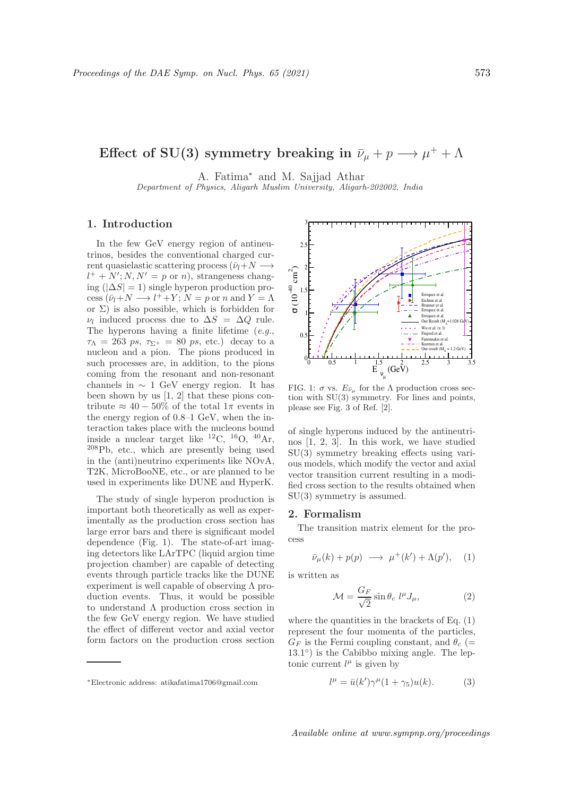# Effect of SU(3) symmetry breaking in  $\bar{\nu}_{\mu} + p \longrightarrow \mu^+ + \Lambda$

A. Fatima<sup>∗</sup> and M. Sajjad Athar

Department of Physics, Aligarh Muslim University, Aligarh-202002, India

## 1. Introduction

In the few GeV energy region of antineutrinos, besides the conventional charged current quasielastic scattering process  $(\bar{\nu}_l+N \longrightarrow$  $l^+ + N'; N, N' = p$  or n), strangeness changing ( $|\Delta S| = 1$ ) single hyperon production pro- $\text{cess}(\bar{\nu}_l+N\longrightarrow l^++Y; N=p \text{ or } n \text{ and } Y=\Lambda$ or Σ) is also possible, which is forbidden for  $\nu_l$  induced process due to  $\Delta S = \Delta Q$  rule. The hyperons having a finite lifetime  $(e.g.,$  $\tau_{\Lambda} = 263 \text{ ps}, \tau_{\Sigma^+} = 80 \text{ ps}, \text{ etc.}$ ) decay to a nucleon and a pion. The pions produced in such processes are, in addition, to the pions coming from the resonant and non-resonant channels in  $\sim 1$  GeV energy region. It has been shown by us [1, 2] that these pions contribute  $\approx 40 - 50\%$  of the total  $1\pi$  events in the energy region of 0.8–1 GeV, when the interaction takes place with the nucleons bound inside a nuclear target like  $^{12}C$ ,  $^{16}O$ ,  $^{40}Ar$ , <sup>208</sup>Pb, etc., which are presently being used in the (anti)neutrino experiments like NOvA, T2K, MicroBooNE, etc., or are planned to be used in experiments like DUNE and HyperK.

The study of single hyperon production is important both theoretically as well as experimentally as the production cross section has large error bars and there is significant model dependence (Fig. 1). The state-of-art imaging detectors like LArTPC (liquid argion time projection chamber) are capable of detecting events through particle tracks like the DUNE experiment is well capable of observing  $\Lambda$  production events. Thus, it would be possible to understand  $\Lambda$  production cross section in the few GeV energy region. We have studied the effect of different vector and axial vector form factors on the production cross section



FIG. 1:  $\sigma$  vs.  $E_{\bar{\nu}_{\mu}}$  for the  $\Lambda$  production cross section with SU(3) symmetry. For lines and points, please see Fig. 3 of Ref. [2].

of single hyperons induced by the antineutrinos [1, 2, 3]. In this work, we have studied SU(3) symmetry breaking effects using various models, which modify the vector and axial vector transition current resulting in a modified cross section to the results obtained when SU(3) symmetry is assumed.

## 2. Formalism

The transition matrix element for the process

$$
\bar{\nu}_{\mu}(k) + p(p) \longrightarrow \mu^{+}(k') + \Lambda(p'), \quad (1)
$$

is written as

$$
\mathcal{M} = \frac{G_F}{\sqrt{2}} \sin \theta_c \ l^\mu J_\mu,\tag{2}
$$

where the quantities in the brackets of Eq. (1) represent the four momenta of the particles,  $G_F$  is the Fermi coupling constant, and  $\theta_c$  (= 13.1°) is the Cabibbo mixing angle. The leptonic current  $l^{\mu}$  is given by

$$
l^{\mu} = \bar{u}(k')\gamma^{\mu}(1+\gamma_5)u(k). \tag{3}
$$

<sup>∗</sup>Electronic address: atikafatima1706@gmail.com